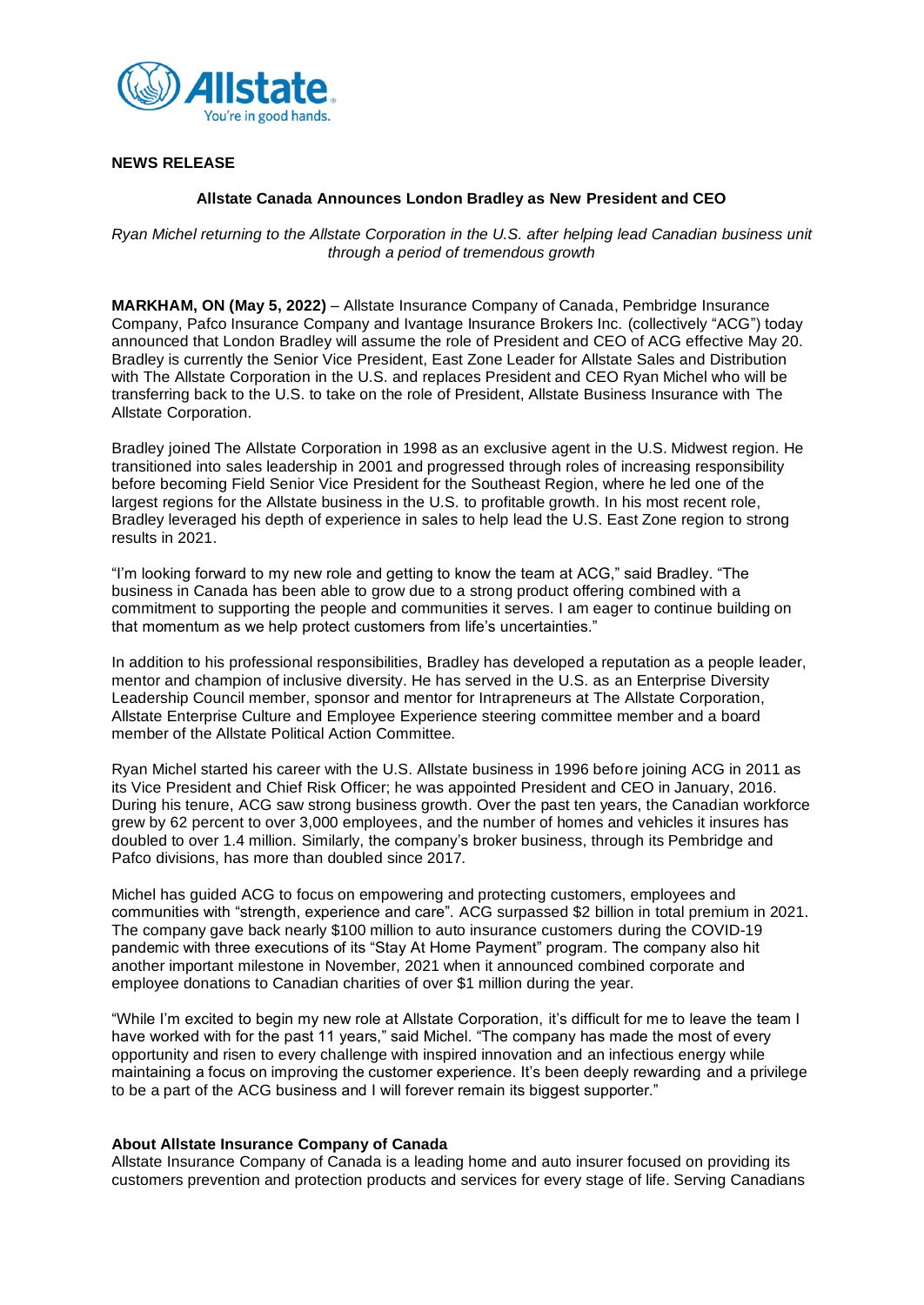

## **NEWS RELEASE**

### **Allstate Canada Announces London Bradley as New President and CEO**

*Ryan Michel returning to the Allstate Corporation in the U.S. after helping lead Canadian business unit through a period of tremendous growth*

**MARKHAM, ON (May 5, 2022)** – Allstate Insurance Company of Canada, Pembridge Insurance Company, Pafco Insurance Company and Ivantage Insurance Brokers Inc. (collectively "ACG") today announced that London Bradley will assume the role of President and CEO of ACG effective May 20. Bradley is currently the Senior Vice President, East Zone Leader for Allstate Sales and Distribution with The Allstate Corporation in the U.S. and replaces President and CEO Ryan Michel who will be transferring back to the U.S. to take on the role of President, Allstate Business Insurance with The Allstate Corporation.

Bradley joined The Allstate Corporation in 1998 as an exclusive agent in the U.S. Midwest region. He transitioned into sales leadership in 2001 and progressed through roles of increasing responsibility before becoming Field Senior Vice President for the Southeast Region, where he led one of the largest regions for the Allstate business in the U.S. to profitable growth. In his most recent role, Bradley leveraged his depth of experience in sales to help lead the U.S. East Zone region to strong results in 2021.

"I'm looking forward to my new role and getting to know the team at ACG," said Bradley. "The business in Canada has been able to grow due to a strong product offering combined with a commitment to supporting the people and communities it serves. I am eager to continue building on that momentum as we help protect customers from life's uncertainties."

In addition to his professional responsibilities, Bradley has developed a reputation as a people leader, mentor and champion of inclusive diversity. He has served in the U.S. as an Enterprise Diversity Leadership Council member, sponsor and mentor for Intrapreneurs at The Allstate Corporation, Allstate Enterprise Culture and Employee Experience steering committee member and a board member of the Allstate Political Action Committee.

Ryan Michel started his career with the U.S. Allstate business in 1996 before joining ACG in 2011 as its Vice President and Chief Risk Officer; he was appointed President and CEO in January, 2016. During his tenure, ACG saw strong business growth. Over the past ten years, the Canadian workforce grew by 62 percent to over 3,000 employees, and the number of homes and vehicles it insures has doubled to over 1.4 million. Similarly, the company's broker business, through its Pembridge and Pafco divisions, has more than doubled since 2017.

Michel has guided ACG to focus on empowering and protecting customers, employees and communities with "strength, experience and care". ACG surpassed \$2 billion in total premium in 2021. The company gave back nearly \$100 million to auto insurance customers during the COVID-19 pandemic with three executions of its "Stay At Home Payment" program. The company also hit another important milestone in November, 2021 when it announced combined corporate and employee donations to Canadian charities of over \$1 million during the year.

"While I'm excited to begin my new role at Allstate Corporation, it's difficult for me to leave the team I have worked with for the past 11 years," said Michel. "The company has made the most of every opportunity and risen to every challenge with inspired innovation and an infectious energy while maintaining a focus on improving the customer experience. It's been deeply rewarding and a privilege to be a part of the ACG business and I will forever remain its biggest supporter."

### **About Allstate Insurance Company of Canada**

Allstate Insurance Company of Canada is a leading home and auto insurer focused on providing its customers prevention and protection products and services for every stage of life. Serving Canadians